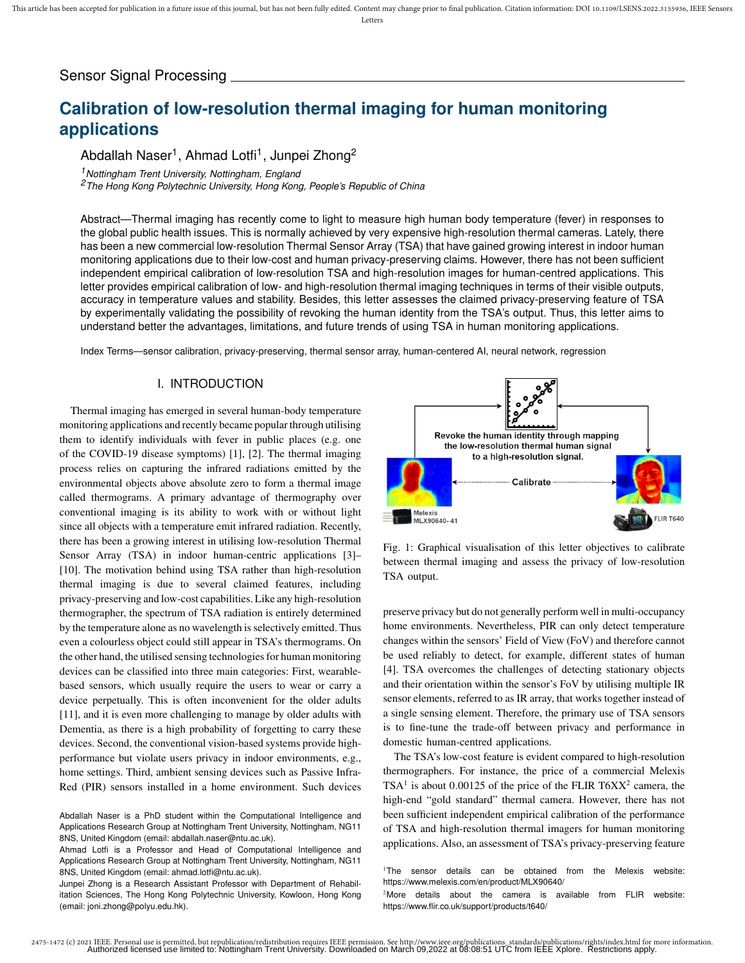# Sensor Signal Processing

# **Calibration of low-resolution thermal imaging for human monitoring applications**

Abdallah Naser<sup>1</sup>, Ahmad Lotfi<sup>1</sup>, Junpei Zhong<sup>2</sup>

*<sup>1</sup>Nottingham Trent University, Nottingham, England <sup>2</sup>The Hong Kong Polytechnic University, Hong Kong, People's Republic of China*

Abstract—Thermal imaging has recently come to light to measure high human body temperature (fever) in responses to the global public health issues. This is normally achieved by very expensive high-resolution thermal cameras. Lately, there has been a new commercial low-resolution Thermal Sensor Array (TSA) that have gained growing interest in indoor human monitoring applications due to their low-cost and human privacy-preserving claims. However, there has not been sufficient independent empirical calibration of low-resolution TSA and high-resolution images for human-centred applications. This letter provides empirical calibration of low- and high-resolution thermal imaging techniques in terms of their visible outputs, accuracy in temperature values and stability. Besides, this letter assesses the claimed privacy-preserving feature of TSA by experimentally validating the possibility of revoking the human identity from the TSA's output. Thus, this letter aims to understand better the advantages, limitations, and future trends of using TSA in human monitoring applications.

Index Terms—sensor calibration, privacy-preserving, thermal sensor array, human-centered AI, neural network, regression

#### I. INTRODUCTION

Thermal imaging has emerged in several human-body temperature monitoring applications and recently became popular through utilising them to identify individuals with fever in public places (e.g. one of the COVID-19 disease symptoms) [1], [2]. The thermal imaging process relies on capturing the infrared radiations emitted by the environmental objects above absolute zero to form a thermal image called thermograms. A primary advantage of thermography over conventional imaging is its ability to work with or without light since all objects with a temperature emit infrared radiation. Recently, there has been a growing interest in utilising low-resolution Thermal Sensor Array (TSA) in indoor human-centric applications [3]– [10]. The motivation behind using TSA rather than high-resolution thermal imaging is due to several claimed features, including privacy-preserving and low-cost capabilities. Like any high-resolution thermographer, the spectrum of TSA radiation is entirely determined by the temperature alone as no wavelength is selectively emitted. Thus even a colourless object could still appear in TSA's thermograms. On the other hand, the utilised sensing technologies for human monitoring devices can be classified into three main categories: First, wearablebased sensors, which usually require the users to wear or carry a device perpetually. This is often inconvenient for the older adults [11], and it is even more challenging to manage by older adults with Dementia, as there is a high probability of forgetting to carry these devices. Second, the conventional vision-based systems provide highperformance but violate users privacy in indoor environments, e.g., home settings. Third, ambient sensing devices such as Passive Infra-Red (PIR) sensors installed in a home environment. Such devices



Fig. 1: Graphical visualisation of this letter objectives to calibrate between thermal imaging and assess the privacy of low-resolution TSA output.

preserve privacy but do not generally perform well in multi-occupancy home environments. Nevertheless, PIR can only detect temperature changes within the sensors' Field of View (FoV) and therefore cannot be used reliably to detect, for example, different states of human [4]. TSA overcomes the challenges of detecting stationary objects and their orientation within the sensor's FoV by utilising multiple IR sensor elements, referred to as IR array, that works together instead of a single sensing element. Therefore, the primary use of TSA sensors is to fine-tune the trade-off between privacy and performance in domestic human-centred applications.

The TSA's low-cost feature is evident compared to high-resolution thermographers. For instance, the price of a commercial Melexis  $TSA<sup>1</sup>$  is about 0.00125 of the price of the FLIR T6XX<sup>2</sup> camera, the high-end "gold standard" thermal camera. However, there has not been sufficient independent empirical calibration of the performance of TSA and high-resolution thermal imagers for human monitoring applications. Also, an assessment of TSA's privacy-preserving feature

Abdallah Naser is a PhD student within the Computational Intelligence and Applications Research Group at Nottingham Trent University, Nottingham, NG11 8NS, United Kingdom (email: abdallah.naser@ntu.ac.uk).

Ahmad Lotfi is a Professor and Head of Computational Intelligence and Applications Research Group at Nottingham Trent University, Nottingham, NG11 8NS, United Kingdom (email: ahmad.lotfi@ntu.ac.uk).

Junpei Zhong is a Research Assistant Professor with Department of Rehabilitation Sciences, The Hong Kong Polytechnic University, Kowloon, Hong Kong (email: joni.zhong@polyu.edu.hk).

<sup>&</sup>lt;sup>1</sup>The sensor details can be obtained from the Melexis website: https://www.melexis.com/en/product/MLX90640/

<sup>&</sup>lt;sup>2</sup>More details about the camera is available from FLIR website: https://www.flir.co.uk/support/products/t640/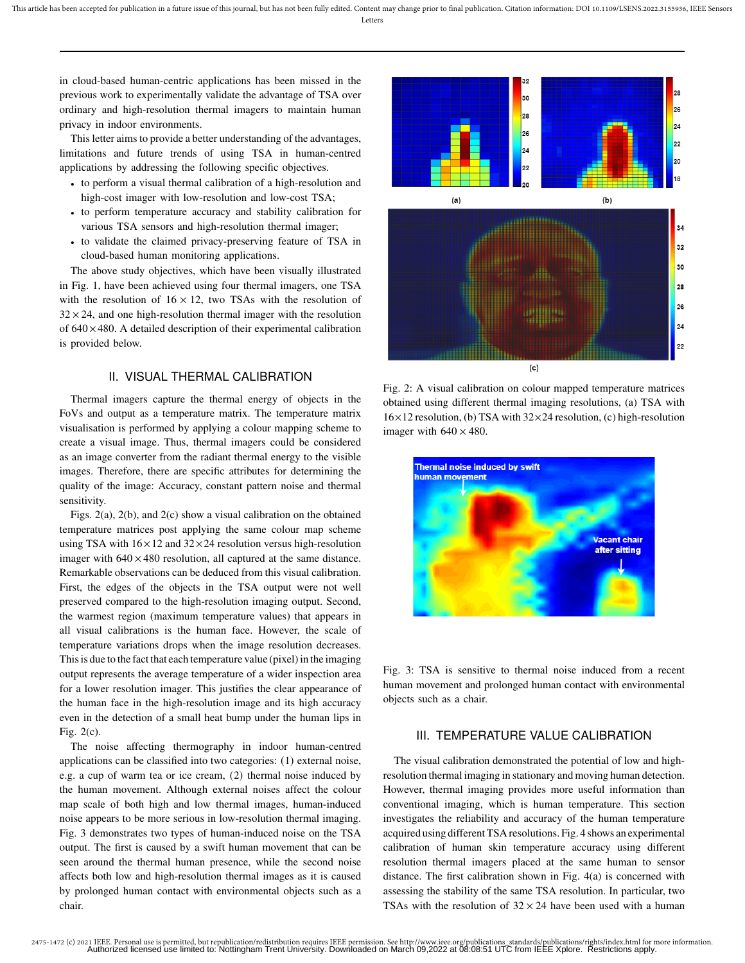in cloud-based human-centric applications has been missed in the previous work to experimentally validate the advantage of TSA over ordinary and high-resolution thermal imagers to maintain human privacy in indoor environments.

This letter aims to provide a better understanding of the advantages, limitations and future trends of using TSA in human-centred applications by addressing the following specific objectives.

- to perform a visual thermal calibration of a high-resolution and high-cost imager with low-resolution and low-cost TSA;
- to perform temperature accuracy and stability calibration for various TSA sensors and high-resolution thermal imager;
- to validate the claimed privacy-preserving feature of TSA in cloud-based human monitoring applications.

The above study objectives, which have been visually illustrated in Fig. 1, have been achieved using four thermal imagers, one TSA with the resolution of  $16 \times 12$ , two TSAs with the resolution of  $32 \times 24$ , and one high-resolution thermal imager with the resolution of  $640 \times 480$ . A detailed description of their experimental calibration is provided below.

### II. VISUAL THERMAL CALIBRATION

Thermal imagers capture the thermal energy of objects in the FoVs and output as a temperature matrix. The temperature matrix visualisation is performed by applying a colour mapping scheme to create a visual image. Thus, thermal imagers could be considered as an image converter from the radiant thermal energy to the visible images. Therefore, there are specific attributes for determining the quality of the image: Accuracy, constant pattern noise and thermal sensitivity.

Figs. 2(a), 2(b), and 2(c) show a visual calibration on the obtained temperature matrices post applying the same colour map scheme using TSA with  $16 \times 12$  and  $32 \times 24$  resolution versus high-resolution imager with  $640 \times 480$  resolution, all captured at the same distance. Remarkable observations can be deduced from this visual calibration. First, the edges of the objects in the TSA output were not well preserved compared to the high-resolution imaging output. Second, the warmest region (maximum temperature values) that appears in all visual calibrations is the human face. However, the scale of temperature variations drops when the image resolution decreases. This is due to the fact that each temperature value (pixel) in the imaging output represents the average temperature of a wider inspection area for a lower resolution imager. This justifies the clear appearance of the human face in the high-resolution image and its high accuracy even in the detection of a small heat bump under the human lips in Fig. 2(c).

The noise affecting thermography in indoor human-centred applications can be classified into two categories: (1) external noise, e.g. a cup of warm tea or ice cream, (2) thermal noise induced by the human movement. Although external noises affect the colour map scale of both high and low thermal images, human-induced noise appears to be more serious in low-resolution thermal imaging. Fig. 3 demonstrates two types of human-induced noise on the TSA output. The first is caused by a swift human movement that can be seen around the thermal human presence, while the second noise affects both low and high-resolution thermal images as it is caused by prolonged human contact with environmental objects such as a chair.



Fig. 2: A visual calibration on colour mapped temperature matrices obtained using different thermal imaging resolutions, (a) TSA with  $16\times12$  resolution, (b) TSA with  $32\times24$  resolution, (c) high-resolution imager with  $640 \times 480$ .



Fig. 3: TSA is sensitive to thermal noise induced from a recent human movement and prolonged human contact with environmental objects such as a chair.

## III. TEMPERATURE VALUE CALIBRATION

The visual calibration demonstrated the potential of low and highresolution thermal imaging in stationary and moving human detection. However, thermal imaging provides more useful information than conventional imaging, which is human temperature. This section investigates the reliability and accuracy of the human temperature acquired using different TSA resolutions. Fig. 4 shows an experimental calibration of human skin temperature accuracy using different resolution thermal imagers placed at the same human to sensor distance. The first calibration shown in Fig. 4(a) is concerned with assessing the stability of the same TSA resolution. In particular, two TSAs with the resolution of  $32 \times 24$  have been used with a human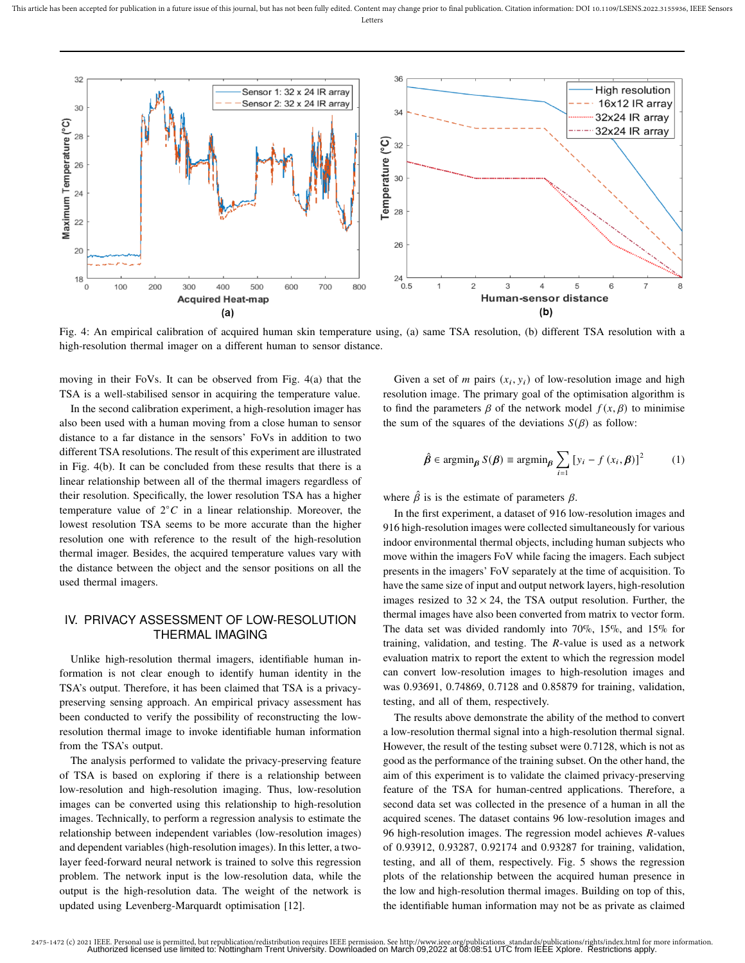

Fig. 4: An empirical calibration of acquired human skin temperature using, (a) same TSA resolution, (b) different TSA resolution with a high-resolution thermal imager on a different human to sensor distance.

moving in their FoVs. It can be observed from Fig. 4(a) that the TSA is a well-stabilised sensor in acquiring the temperature value.

In the second calibration experiment, a high-resolution imager has also been used with a human moving from a close human to sensor distance to a far distance in the sensors' FoVs in addition to two different TSA resolutions. The result of this experiment are illustrated in Fig. 4(b). It can be concluded from these results that there is a linear relationship between all of the thermal imagers regardless of their resolution. Specifically, the lower resolution TSA has a higher temperature value of  $2^{\circ}C$  in a linear relationship. Moreover, the lowest resolution TSA seems to be more accurate than the higher resolution one with reference to the result of the high-resolution thermal imager. Besides, the acquired temperature values vary with the distance between the object and the sensor positions on all the used thermal imagers.

# IV. PRIVACY ASSESSMENT OF LOW-RESOLUTION THERMAL IMAGING

Unlike high-resolution thermal imagers, identifiable human information is not clear enough to identify human identity in the TSA's output. Therefore, it has been claimed that TSA is a privacypreserving sensing approach. An empirical privacy assessment has been conducted to verify the possibility of reconstructing the lowresolution thermal image to invoke identifiable human information from the TSA's output.

The analysis performed to validate the privacy-preserving feature of TSA is based on exploring if there is a relationship between low-resolution and high-resolution imaging. Thus, low-resolution images can be converted using this relationship to high-resolution images. Technically, to perform a regression analysis to estimate the relationship between independent variables (low-resolution images) and dependent variables (high-resolution images). In this letter, a twolayer feed-forward neural network is trained to solve this regression problem. The network input is the low-resolution data, while the output is the high-resolution data. The weight of the network is updated using Levenberg-Marquardt optimisation [12].

Given a set of *m* pairs  $(x_i, y_i)$  of low-resolution image and high resolution image. The primary goal of the optimisation algorithm is to find the parameters  $\beta$  of the network model  $f(x, \beta)$  to minimise the sum of the squares of the deviations  $S(\beta)$  as follow:

$$
\hat{\beta} \in \operatorname{argmin}_{\beta} S(\beta) \equiv \operatorname{argmin}_{\beta} \sum_{i=1} [y_i - f(x_i, \beta)]^2 \tag{1}
$$

where  $\hat{\beta}$  is is the estimate of parameters  $\beta$ .

In the first experiment, a dataset of 916 low-resolution images and 916 high-resolution images were collected simultaneously for various indoor environmental thermal objects, including human subjects who move within the imagers FoV while facing the imagers. Each subject presents in the imagers' FoV separately at the time of acquisition. To have the same size of input and output network layers, high-resolution images resized to  $32 \times 24$ , the TSA output resolution. Further, the thermal images have also been converted from matrix to vector form. The data set was divided randomly into 70%, 15%, and 15% for training, validation, and testing. The *-value is used as a network* evaluation matrix to report the extent to which the regression model can convert low-resolution images to high-resolution images and was 0.93691, 0.74869, 0.7128 and 0.85879 for training, validation, testing, and all of them, respectively.

The results above demonstrate the ability of the method to convert a low-resolution thermal signal into a high-resolution thermal signal. However, the result of the testing subset were 0.7128, which is not as good as the performance of the training subset. On the other hand, the aim of this experiment is to validate the claimed privacy-preserving feature of the TSA for human-centred applications. Therefore, a second data set was collected in the presence of a human in all the acquired scenes. The dataset contains 96 low-resolution images and 96 high-resolution images. The regression model achieves *-values* of 0.93912, 0.93287, 0.92174 and 0.93287 for training, validation, testing, and all of them, respectively. Fig. 5 shows the regression plots of the relationship between the acquired human presence in the low and high-resolution thermal images. Building on top of this, the identifiable human information may not be as private as claimed